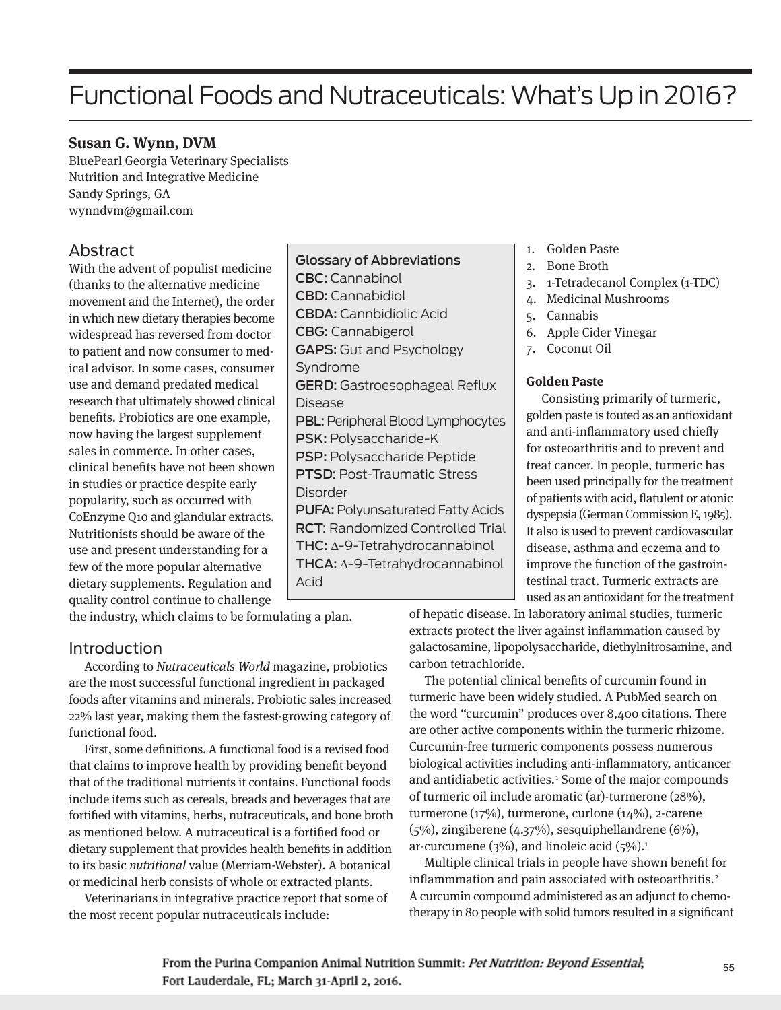# Functional Foods and Nutraceuticals: What's Up in 2016?

# **Susan G. Wynn, DVM**

BluePearl Georgia Veterinary Specialists Nutrition and Integrative Medicine Sandy Springs, GA wynndvm@gmail.com

# Abstract

With the advent of populist medicine (thanks to the alternative medicine movement and the Internet), the order in which new dietary therapies become widespread has reversed from doctor to patient and now consumer to medical advisor. In some cases, consumer use and demand predated medical research that ultimately showed clinical benefits. Probiotics are one example, now having the largest supplement sales in commerce. In other cases, clinical benefits have not been shown in studies or practice despite early popularity, such as occurred with CoEnzyme Q10 and glandular extracts. Nutritionists should be aware of the use and present understanding for a few of the more popular alternative dietary supplements. Regulation and quality control continue to challenge

Glossary of Abbreviations CBC: Cannabinol CBD: Cannabidiol CBDA: Cannbidiolic Acid CBG: Cannabigerol GAPS: Gut and Psychology Syndrome GERD: Gastroesophageal Reflux Disease PBL: Peripheral Blood Lymphocytes PSK: Polysaccharide-K PSP: Polysaccharide Peptide PTSD: Post-Traumatic Stress Disorder PUFA: Polyunsaturated Fatty Acids RCT: Randomized Controlled Trial THC: ∆-9-Tetrahydrocannabinol THCA: ∆-9-Tetrahydrocannabinol Acid

1. Golden Paste

- 2. Bone Broth
- 3. 1-Tetradecanol Complex (1-TDC)
- 4. Medicinal Mushrooms
- 5. Cannabis
- 6. Apple Cider Vinegar
- 7. Coconut Oil

## **Golden Paste**

Consisting primarily of turmeric, golden paste is touted as an antioxidant and anti-inflammatory used chiefly for osteoarthritis and to prevent and treat cancer. In people, turmeric has been used principally for the treatment of patients with acid, flatulent or atonic dyspepsia (German Commission E, 1985). It also is used to prevent cardiovascular disease, asthma and eczema and to improve the function of the gastrointestinal tract. Turmeric extracts are used as an antioxidant for the treatment

the industry, which claims to be formulating a plan.

# **Introduction**

According to Nutraceuticals World magazine, probiotics are the most successful functional ingredient in packaged foods after vitamins and minerals. Probiotic sales increased 22% last year, making them the fastest-growing category of functional food.

First, some definitions. A functional food is a revised food that claims to improve health by providing benefit beyond that of the traditional nutrients it contains. Functional foods include items such as cereals, breads and beverages that are fortified with vitamins, herbs, nutraceuticals, and bone broth as mentioned below. A nutraceutical is a fortified food or dietary supplement that provides health benefits in addition to its basic nutritional value (Merriam-Webster). A botanical or medicinal herb consists of whole or extracted plants.

Veterinarians in integrative practice report that some of the most recent popular nutraceuticals include:

of hepatic disease. In laboratory animal studies, turmeric extracts protect the liver against inflammation caused by galactosamine, lipopolysaccharide, diethylnitrosamine, and carbon tetrachloride.

The potential clinical benefits of curcumin found in turmeric have been widely studied. A PubMed search on the word "curcumin" produces over 8,400 citations. There are other active components within the turmeric rhizome. Curcumin-free turmeric components possess numerous biological activities including anti-inflammatory, anticancer and antidiabetic activities.<sup>1</sup> Some of the major compounds of turmeric oil include aromatic (ar)-turmerone (28%), turmerone (17%), turmerone, curlone (14%), 2-carene (5%), zingiberene (4.37%), sesquiphellandrene (6%), ar-curcumene ( $3\%$ ), and linoleic acid ( $5\%$ ).<sup>1</sup>

Multiple clinical trials in people have shown benefit for inflammmation and pain associated with osteoarthritis.<sup>2</sup> A curcumin compound administered as an adjunct to chemotherapy in 80 people with solid tumors resulted in a significant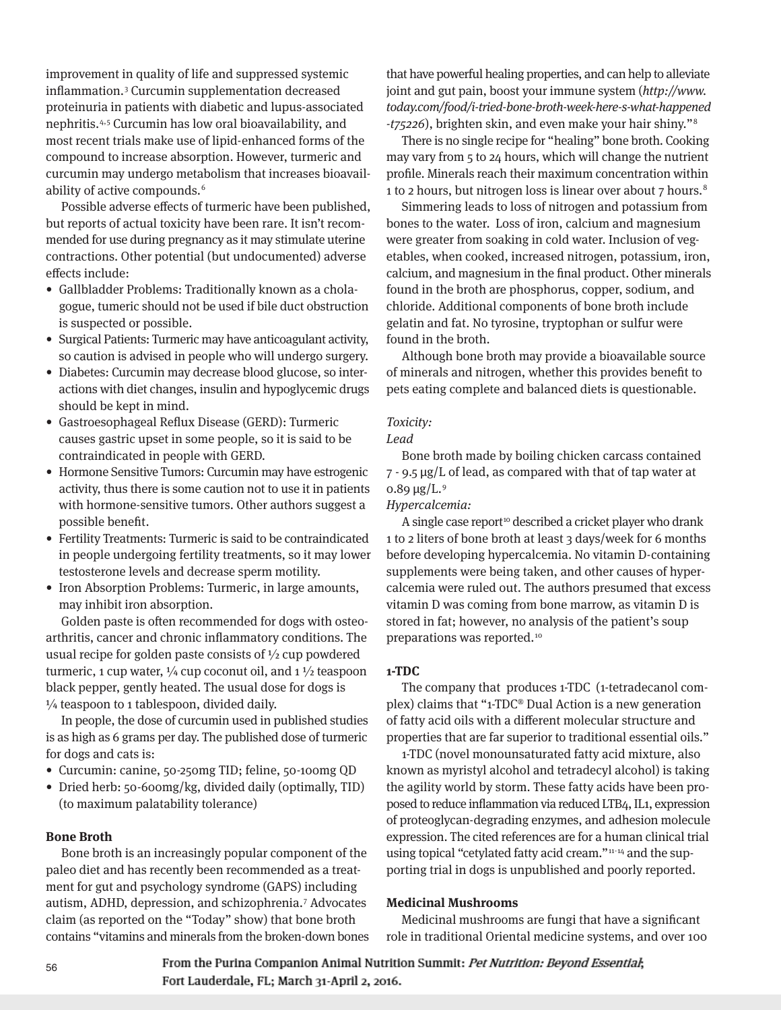improvement in quality of life and suppressed systemic inflammation.3 Curcumin supplementation decreased proteinuria in patients with diabetic and lupus-associated nephritis.4,5 Curcumin has low oral bioavailability, and most recent trials make use of lipid-enhanced forms of the compound to increase absorption. However, turmeric and curcumin may undergo metabolism that increases bioavailability of active compounds.<sup>6</sup>

Possible adverse effects of turmeric have been published, but reports of actual toxicity have been rare. It isn't recommended for use during pregnancy as it may stimulate uterine contractions. Other potential (but undocumented) adverse effects include:

- Gallbladder Problems: Traditionally known as a cholagogue, tumeric should not be used if bile duct obstruction is suspected or possible.
- Surgical Patients: Turmeric may have anticoagulant activity, so caution is advised in people who will undergo surgery.
- Diabetes: Curcumin may decrease blood glucose, so interactions with diet changes, insulin and hypoglycemic drugs should be kept in mind.
- Gastroesophageal Reflux Disease (GERD): Turmeric causes gastric upset in some people, so it is said to be contraindicated in people with GERD.
- Hormone Sensitive Tumors: Curcumin may have estrogenic activity, thus there is some caution not to use it in patients with hormone-sensitive tumors. Other authors suggest a possible benefit.
- Fertility Treatments: Turmeric is said to be contraindicated in people undergoing fertility treatments, so it may lower testosterone levels and decrease sperm motility.
- Iron Absorption Problems: Turmeric, in large amounts, may inhibit iron absorption.

Golden paste is often recommended for dogs with osteoarthritis, cancer and chronic inflammatory conditions. The usual recipe for golden paste consists of  $\frac{1}{2}$  cup powdered turmeric, 1 cup water,  $\frac{1}{4}$  cup coconut oil, and 1  $\frac{1}{2}$  teaspoon black pepper, gently heated. The usual dose for dogs is  $\frac{1}{4}$  teaspoon to 1 tablespoon, divided daily.

In people, the dose of curcumin used in published studies is as high as 6 grams per day. The published dose of turmeric for dogs and cats is:

- Curcumin: canine, 50-250mg TID; feline, 50-100mg QD
- Dried herb: 50-600mg/kg, divided daily (optimally, TID) (to maximum palatability tolerance)

## **Bone Broth**

Bone broth is an increasingly popular component of the paleo diet and has recently been recommended as a treatment for gut and psychology syndrome (GAPS) including autism, ADHD, depression, and schizophrenia.7 Advocates claim (as reported on the "Today" show) that bone broth contains "vitamins and minerals from the broken-down bones

that have powerful healing properties, and can help to alleviate joint and gut pain, boost your immune system (http://www. today.com/food/i-tried-bone-broth-week-here-s-what-happened -t75226), brighten skin, and even make your hair shiny."8

There is no single recipe for "healing" bone broth. Cooking may vary from 5 to 24 hours, which will change the nutrient profile. Minerals reach their maximum concentration within 1 to 2 hours, but nitrogen loss is linear over about 7 hours.<sup>8</sup>

Simmering leads to loss of nitrogen and potassium from bones to the water. Loss of iron, calcium and magnesium were greater from soaking in cold water. Inclusion of vegetables, when cooked, increased nitrogen, potassium, iron, calcium, and magnesium in the final product. Other minerals found in the broth are phosphorus, copper, sodium, and chloride. Additional components of bone broth include gelatin and fat. No tyrosine, tryptophan or sulfur were found in the broth.

Although bone broth may provide a bioavailable source of minerals and nitrogen, whether this provides benefit to pets eating complete and balanced diets is questionable.

#### Toxicity:

Lead

Bone broth made by boiling chicken carcass contained  $7 - 9.5 \,\mathrm{\mu g/L}$  of lead, as compared with that of tap water at 0.89  $\mu$ g/L.<sup>9</sup>

Hypercalcemia:

A single case report<sup>10</sup> described a cricket player who drank 1 to 2 liters of bone broth at least 3 days/week for 6 months before developing hypercalcemia. No vitamin D-containing supplements were being taken, and other causes of hypercalcemia were ruled out. The authors presumed that excess vitamin D was coming from bone marrow, as vitamin D is stored in fat; however, no analysis of the patient's soup preparations was reported.<sup>10</sup>

# **1-TDC**

The company that produces 1-TDC (1-tetradecanol complex) claims that "1-TDC® Dual Action is a new generation of fatty acid oils with a different molecular structure and properties that are far superior to traditional essential oils."

1-TDC (novel monounsaturated fatty acid mixture, also known as myristyl alcohol and tetradecyl alcohol) is taking the agility world by storm. These fatty acids have been proposed to reduce inflammation via reduced LTB4, IL1, expression of proteoglycan-degrading enzymes, and adhesion molecule expression. The cited references are for a human clinical trial using topical "cetylated fatty acid cream."11-14 and the supporting trial in dogs is unpublished and poorly reported.

## **Medicinal Mushrooms**

Medicinal mushrooms are fungi that have a significant role in traditional Oriental medicine systems, and over 100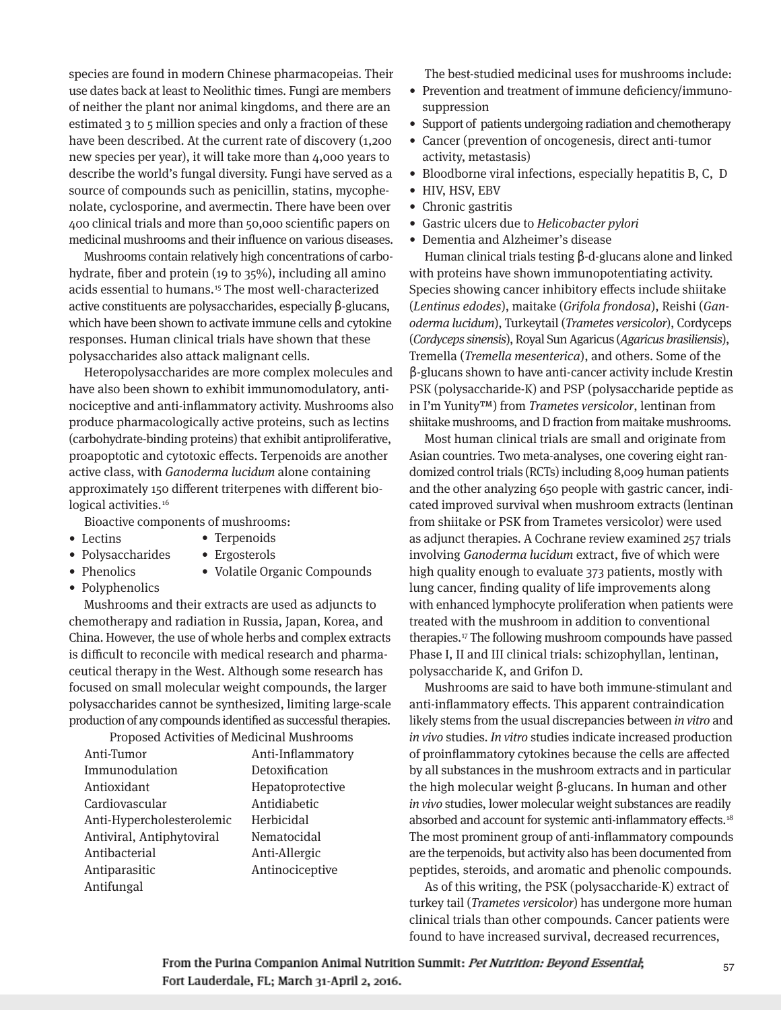species are found in modern Chinese pharmacopeias. Their use dates back at least to Neolithic times. Fungi are members of neither the plant nor animal kingdoms, and there are an estimated 3 to 5 million species and only a fraction of these have been described. At the current rate of discovery (1,200) new species per year), it will take more than 4,000 years to describe the world's fungal diversity. Fungi have served as a source of compounds such as penicillin, statins, mycophenolate, cyclosporine, and avermectin. There have been over 400 clinical trials and more than 50,000 scientific papers on medicinal mushrooms and their influence on various diseases.

Mushrooms contain relatively high concentrations of carbohydrate, fiber and protein (19 to 35%), including all amino acids essential to humans.15 The most well-characterized active constituents are polysaccharides, especially β-glucans, which have been shown to activate immune cells and cytokine responses. Human clinical trials have shown that these polysaccharides also attack malignant cells.

Heteropolysaccharides are more complex molecules and have also been shown to exhibit immunomodulatory, antinociceptive and anti-inflammatory activity. Mushrooms also produce pharmacologically active proteins, such as lectins (carbohydrate-binding proteins) that exhibit antiproliferative, proapoptotic and cytotoxic effects. Terpenoids are another active class, with Ganoderma lucidum alone containing approximately 150 different triterpenes with different biological activities.<sup>16</sup>

Bioactive components of mushrooms:

- Lectins
- Terpenoids • Ergosterols
- Phenolics
- Volatile Organic Compounds
- Polyphenolics

• Polysaccharides

Mushrooms and their extracts are used as adjuncts to chemotherapy and radiation in Russia, Japan, Korea, and China. However, the use of whole herbs and complex extracts is difficult to reconcile with medical research and pharmaceutical therapy in the West. Although some research has focused on small molecular weight compounds, the larger polysaccharides cannot be synthesized, limiting large-scale production of any compounds identified as successful therapies.

| Proposed Activities of Medicinal Mushrooms |                   |
|--------------------------------------------|-------------------|
| Anti-Tumor                                 | Anti-Inflammatory |
| Immunodulation                             | Detoxification    |
| Antioxidant                                | Hepatoprotective  |
| Cardiovascular                             | Antidiabetic      |
| Anti-Hypercholesterolemic                  | Herbicidal        |
| Antiviral, Antiphytoviral                  | Nematocidal       |
| Antibacterial                              | Anti-Allergic     |
| Antiparasitic                              | Antinociceptive   |
| Antifungal                                 |                   |
|                                            |                   |

The best-studied medicinal uses for mushrooms include:

- Prevention and treatment of immune deficiency/immunosuppression
- Support of patients undergoing radiation and chemotherapy
- Cancer (prevention of oncogenesis, direct anti-tumor activity, metastasis)
- Bloodborne viral infections, especially hepatitis B, C, D
- HIV, HSV, EBV
- Chronic gastritis
- Gastric ulcers due to Helicobacter pylori
- Dementia and Alzheimer's disease

Human clinical trials testing β-d-glucans alone and linked with proteins have shown immunopotentiating activity. Species showing cancer inhibitory effects include shiitake (Lentinus edodes), maitake (Grifola frondosa), Reishi (Ganoderma lucidum), Turkeytail (Trametes versicolor), Cordyceps (Cordyceps sinensis), Royal Sun Agaricus (Agaricus brasiliensis), Tremella (Tremella mesenterica), and others. Some of the β-glucans shown to have anti-cancer activity include Krestin PSK (polysaccharide-K) and PSP (polysaccharide peptide as in I'm Yunity™) from Trametes versicolor, lentinan from shiitake mushrooms, and D fraction from maitake mushrooms.

Most human clinical trials are small and originate from Asian countries. Two meta-analyses, one covering eight randomized control trials (RCTs) including 8,009 human patients and the other analyzing 650 people with gastric cancer, indicated improved survival when mushroom extracts (lentinan from shiitake or PSK from Trametes versicolor) were used as adjunct therapies. A Cochrane review examined 257 trials involving Ganoderma lucidum extract, five of which were high quality enough to evaluate 373 patients, mostly with lung cancer, finding quality of life improvements along with enhanced lymphocyte proliferation when patients were treated with the mushroom in addition to conventional therapies.17 The following mushroom compounds have passed Phase I, II and III clinical trials: schizophyllan, lentinan, polysaccharide K, and Grifon D.

Mushrooms are said to have both immune-stimulant and anti-inflammatory effects. This apparent contraindication likely stems from the usual discrepancies between in vitro and in vivo studies. In vitro studies indicate increased production of proinflammatory cytokines because the cells are affected by all substances in the mushroom extracts and in particular the high molecular weight β-glucans. In human and other in vivo studies, lower molecular weight substances are readily absorbed and account for systemic anti-inflammatory effects.<sup>18</sup> The most prominent group of anti-inflammatory compounds are the terpenoids, but activity also has been documented from peptides, steroids, and aromatic and phenolic compounds.

As of this writing, the PSK (polysaccharide-K) extract of turkey tail (Trametes versicolor) has undergone more human clinical trials than other compounds. Cancer patients were found to have increased survival, decreased recurrences,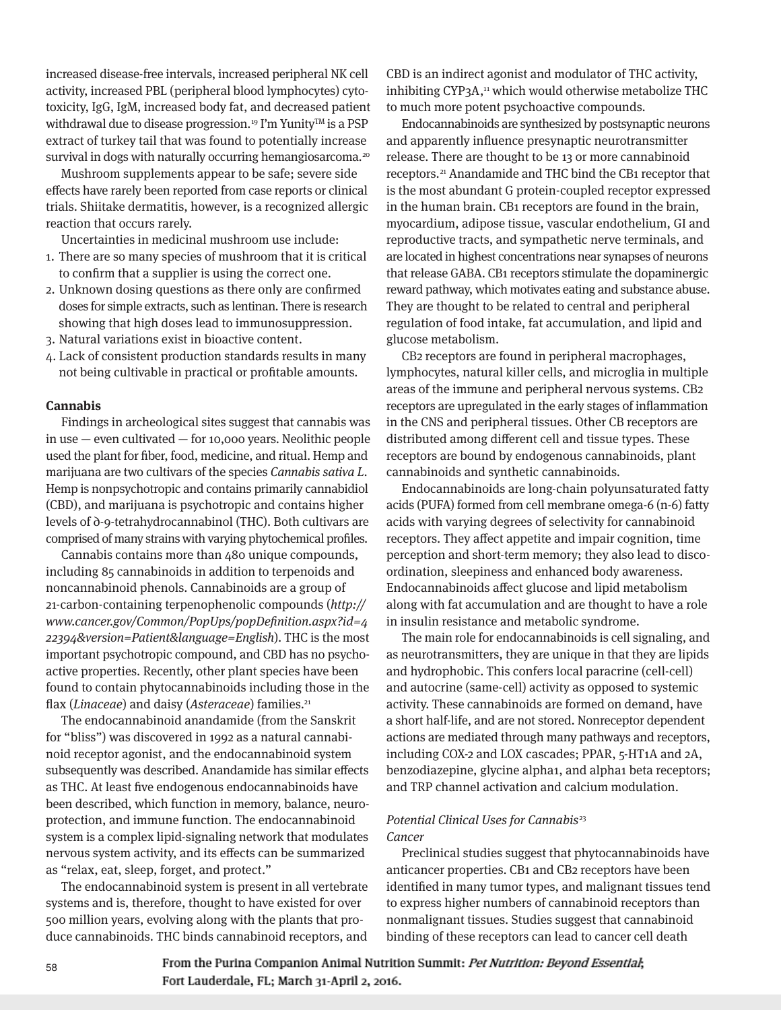increased disease-free intervals, increased peripheral NK cell activity, increased PBL (peripheral blood lymphocytes) cyto toxicity, IgG, IgM, increased body fat, and decreased patient withdrawal due to disease progression.<sup>19</sup> I'm Yunity<sup>™</sup> is a PSP extract of turkey tail that was found to potentially increase survival in dogs with naturally occurring hemangiosarcoma.<sup>20</sup>

Mushroom supplements appear to be safe; severe side effects have rarely been reported from case reports or clinical trials. Shiitake dermatitis, however, is a recognized allergic reaction that occurs rarely.

Uncertainties in medicinal mushroom use include:

- 1. There are so many species of mushroom that it is critical to confirm that a supplier is using the correct one.
- 2. Unknown dosing questions as there only are confirmed doses for simple extracts, such as lentinan. There is research showing that high doses lead to immunosuppression.
- 3. Natural variations exist in bioactive content.
- 4. Lack of consistent production standards results in many not being cultivable in practical or profitable amounts.

#### **Cannabis**

Findings in archeological sites suggest that cannabis was in use — even cultivated — for 10,000 years. Neolithic people used the plant for fiber, food, medicine, and ritual. Hemp and marijuana are two cultivars of the species Cannabis sativa L. Hemp is nonpsychotropic and contains primarily cannabidiol (CBD), and marijuana is psychotropic and contains higher levels of ∂-9-tetrahydrocannabinol (THC). Both cultivars are comprised of many strains with varying phytochemical profiles.

Cannabis contains more than 480 unique compounds, including 85 cannabinoids in addition to terpenoids and noncannabinoid phenols. Cannabinoids are a group of 21-carbon-containing terpenophenolic compounds (http:// www.cancer.gov/Common/PopUps/popDefinition.aspx?id=4 22394&version=Patient&language=English). THC is the most important psychotropic compound, and CBD has no psychoactive properties. Recently, other plant species have been found to contain phytocannabinoids including those in the flax (Linaceae) and daisy (Asteraceae) families.<sup>21</sup>

The endocannabinoid anandamide (from the Sanskrit for "bliss") was discovered in 1992 as a natural cannabinoid receptor agonist, and the endocannabinoid system subsequently was described. Anandamide has similar effects as THC. At least five endogenous endocannabinoids have been described, which function in memory, balance, neuroprotection, and immune function. The endocannabinoid system is a complex lipid-signaling network that modulates nervous system activity, and its effects can be summarized as "relax, eat, sleep, forget, and protect."

The endocannabinoid system is present in all vertebrate systems and is, therefore, thought to have existed for over 500 million years, evolving along with the plants that produce cannabinoids. THC binds cannabinoid receptors, and

CBD is an indirect agonist and modulator of THC activity, inhibiting CYP3A,<sup>11</sup> which would otherwise metabolize THC to much more potent psychoactive compounds.

Endocannabinoids are synthesized by postsynaptic neurons and apparently influence presynaptic neurotransmitter release. There are thought to be 13 or more cannabinoid receptors.21 Anandamide and THC bind the CB1 receptor that is the most abundant G protein-coupled receptor expressed in the human brain. CB1 receptors are found in the brain, myocardium, adipose tissue, vascular endothelium, GI and reproductive tracts, and sympathetic nerve terminals, and are located in highest concentrations near synapses of neurons that release GABA. CB1 receptors stimulate the dopaminergic reward pathway, which motivates eating and substance abuse. They are thought to be related to central and peripheral regulation of food intake, fat accumulation, and lipid and glucose metabolism.

CB2 receptors are found in peripheral macrophages, lymphocytes, natural killer cells, and microglia in multiple areas of the immune and peripheral nervous systems. CB2 receptors are upregulated in the early stages of inflammation in the CNS and peripheral tissues. Other CB receptors are distributed among different cell and tissue types. These receptors are bound by endogenous cannabinoids, plant cannabinoids and synthetic cannabinoids.

Endocannabinoids are long-chain polyunsaturated fatty acids (PUFA) formed from cell membrane omega-6 (n-6) fatty acids with varying degrees of selectivity for cannabinoid receptors. They affect appetite and impair cognition, time perception and short-term memory; they also lead to discoordination, sleepiness and enhanced body awareness. Endocannabinoids affect glucose and lipid metabolism along with fat accumulation and are thought to have a role in insulin resistance and metabolic syndrome.

The main role for endocannabinoids is cell signaling, and as neurotransmitters, they are unique in that they are lipids and hydrophobic. This confers local paracrine (cell-cell) and autocrine (same-cell) activity as opposed to systemic activity. These cannabinoids are formed on demand, have a short half-life, and are not stored. Nonreceptor dependent actions are mediated through many pathways and receptors, including COX-2 and LOX cascades; PPAR, 5-HT1A and 2A, benzodiazepine, glycine alpha1, and alpha1 beta receptors; and TRP channel activation and calcium modulation.

# Potential Clinical Uses for Cannabis<sup>23</sup> Cancer

Preclinical studies suggest that phytocannabinoids have anticancer properties. CB1 and CB2 receptors have been identified in many tumor types, and malignant tissues tend to express higher numbers of cannabinoid receptors than nonmalignant tissues. Studies suggest that cannabinoid binding of these receptors can lead to cancer cell death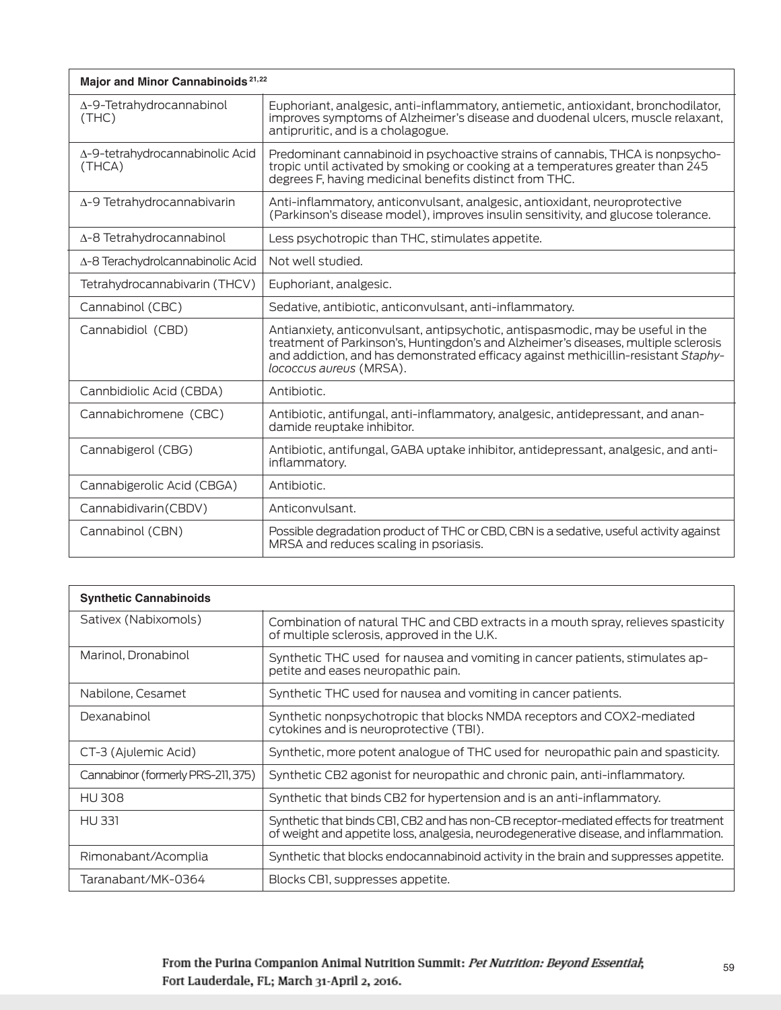| Major and Minor Cannabinoids <sup>21,22</sup> |                                                                                                                                                                                                                                                                                         |
|-----------------------------------------------|-----------------------------------------------------------------------------------------------------------------------------------------------------------------------------------------------------------------------------------------------------------------------------------------|
| $\Delta$ -9-Tetrahydrocannabinol<br>(THE)     | Euphoriant, analgesic, anti-inflammatory, antiemetic, antioxidant, bronchodilator,<br>improves symptoms of Alzheimer's disease and duodenal ulcers, muscle relaxant,<br>antipruritic, and is a cholagogue.                                                                              |
| Δ-9-tetrahydrocannabinolic Acid<br>(THCA)     | Predominant cannabinoid in psychoactive strains of cannabis. THCA is nonpsycho-<br>tropic until activated by smoking or cooking at a temperatures greater than 245<br>degrees F, having medicinal benefits distinct from THC.                                                           |
| $\Delta$ -9 Tetrahydrocannabivarin            | Anti-inflammatory, anticonvulsant, analgesic, antioxidant, neuroprotective<br>(Parkinson's disease model), improves insulin sensitivity, and glucose tolerance.                                                                                                                         |
| $\Delta$ -8 Tetrahydrocannabinol              | Less psychotropic than THC, stimulates appetite.                                                                                                                                                                                                                                        |
| Δ-8 Terachydrolcannabinolic Acid              | Not well studied.                                                                                                                                                                                                                                                                       |
| Tetrahydrocannabivarin (THCV)                 | Euphoriant, analgesic.                                                                                                                                                                                                                                                                  |
| Cannabinol (CBC)                              | Sedative, antibiotic, anticonvulsant, anti-inflammatory.                                                                                                                                                                                                                                |
| Cannabidiol (CBD)                             | Antianxiety, anticonvulsant, antipsychotic, antispasmodic, may be useful in the<br>treatment of Parkinson's, Huntingdon's and Alzheimer's diseases, multiple sclerosis<br>and addiction, and has demonstrated efficacy against methicillin-resistant Staphy-<br>lococcus aureus (MRSA). |
| Cannbidiolic Acid (CBDA)                      | Antibiotic.                                                                                                                                                                                                                                                                             |
| Cannabichromene (CBC)                         | Antibiotic, antifungal, anti-inflammatory, analgesic, antidepressant, and anan-<br>damide reuptake inhibitor.                                                                                                                                                                           |
| Cannabigerol (CBG)                            | Antibiotic, antifungal, GABA uptake inhibitor, antidepressant, analgesic, and anti-<br>inflammatory.                                                                                                                                                                                    |
| Cannabigerolic Acid (CBGA)                    | Antibiotic.                                                                                                                                                                                                                                                                             |
| Cannabidivarin(CBDV)                          | Anticonvulsant.                                                                                                                                                                                                                                                                         |
| Cannabinol (CBN)                              | Possible degradation product of THC or CBD, CBN is a sedative, useful activity against<br>MRSA and reduces scaling in psoriasis.                                                                                                                                                        |

| <b>Synthetic Cannabinoids</b>      |                                                                                                                                                                              |
|------------------------------------|------------------------------------------------------------------------------------------------------------------------------------------------------------------------------|
| Sativex (Nabixomols)               | Combination of natural THC and CBD extracts in a mouth spray, relieves spasticity<br>of multiple sclerosis, approved in the U.K.                                             |
| Marinol, Dronabinol                | Synthetic THC used for nausea and vomiting in cancer patients, stimulates ap-<br>petite and eases neuropathic pain.                                                          |
| Nabilone, Cesamet                  | Synthetic THC used for nausea and vomiting in cancer patients.                                                                                                               |
| Dexanabinol                        | Synthetic nonpsychotropic that blocks NMDA receptors and COX2-mediated<br>cytokines and is neuroprotective (TBI).                                                            |
| CT-3 (Ajulemic Acid)               | Synthetic, more potent analogue of THC used for neuropathic pain and spasticity.                                                                                             |
| Cannabinor (formerly PRS-211, 375) | Synthetic CB2 agonist for neuropathic and chronic pain, anti-inflammatory.                                                                                                   |
| <b>HU308</b>                       | Synthetic that binds CB2 for hypertension and is an anti-inflammatory.                                                                                                       |
| <b>HU331</b>                       | Synthetic that binds CB1, CB2 and has non-CB receptor-mediated effects for treatment<br>of weight and appetite loss, analgesia, neurodegenerative disease, and inflammation. |
| Rimonabant/Acomplia                | Synthetic that blocks endocannabinoid activity in the brain and suppresses appetite.                                                                                         |
| Taranabant/MK-0364                 | Blocks CBI, suppresses appetite.                                                                                                                                             |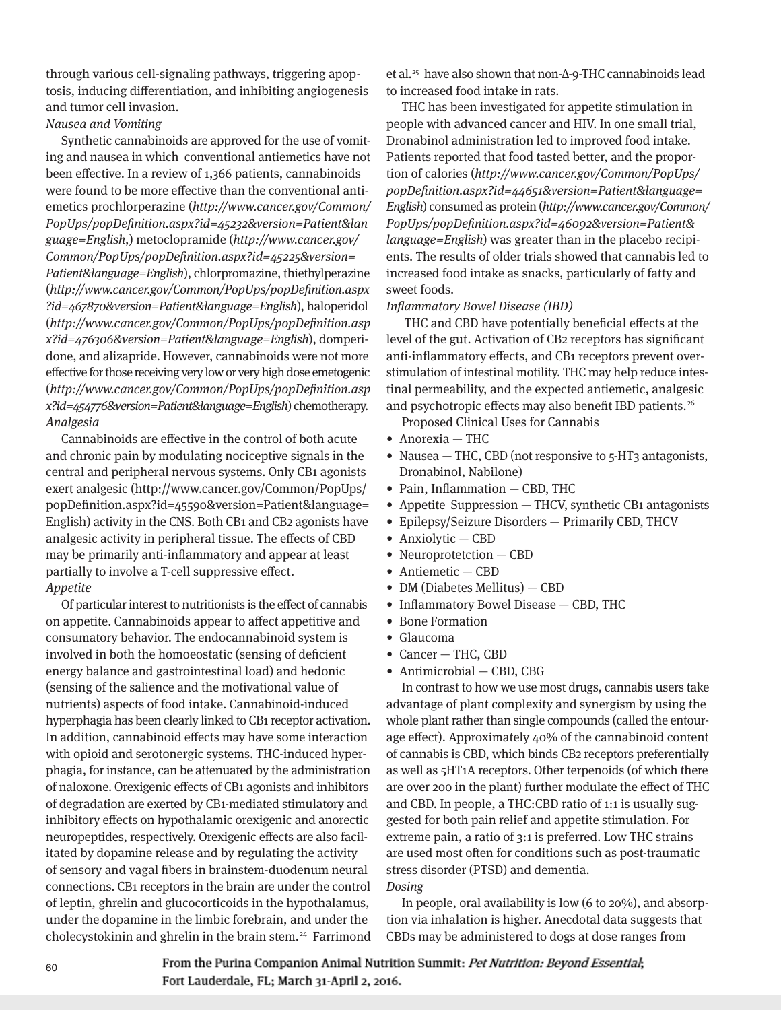through various cell-signaling pathways, triggering apoptosis, inducing differentiation, and inhibiting angiogenesis and tumor cell invasion.

Nausea and Vomiting

Synthetic cannabinoids are approved for the use of vomiting and nausea in which conventional antiemetics have not been effective. In a review of 1,366 patients, cannabinoids were found to be more effective than the conventional antiemetics prochlorperazine (http://www.cancer.gov/Common/ PopUps/popDefinition.aspx?id=45232&version=Patient&lan guage=English,) metoclopramide (http://www.cancer.gov/ Common/PopUps/popDefinition.aspx?id=45225&version= Patient&language=English), chlorpromazine, thiethylperazine (http://www.cancer.gov/Common/PopUps/popDefinition.aspx ?id=467870&version=Patient&language=English), haloperidol (http://www.cancer.gov/Common/PopUps/popDefinition.asp x?id=476306&version=Patient&language=English), domperi done, and alizapride. However, cannabinoids were not more effective for those receiving very low or very high dose emetogenic (http://www.cancer.gov/Common/PopUps/popDefinition.asp x?id=454776&version=Patient&language=English) chemotherapy. Analgesia

Cannabinoids are effective in the control of both acute and chronic pain by modulating nociceptive signals in the central and peripheral nervous systems. Only CB1 agonists exert analgesic (http://www.cancer.gov/Common/PopUps/ popDefinition.aspx?id=45590&version=Patient&language= English) activity in the CNS. Both CB1 and CB2 agonists have analgesic activity in peripheral tissue. The effects of CBD may be primarily anti-inflammatory and appear at least partially to involve a T-cell suppressive effect. Appetite

Of particular interest to nutritionists is the effect of cannabis on appetite. Cannabinoids appear to affect appetitive and consumatory behavior. The endocannabinoid system is involved in both the homoeostatic (sensing of deficient energy balance and gastrointestinal load) and hedonic (sensing of the salience and the motivational value of nutrients) aspects of food intake. Cannabinoid-induced hyperphagia has been clearly linked to CB1 receptor activation. In addition, cannabinoid effects may have some interaction with opioid and serotonergic systems. THC-induced hyperphagia, for instance, can be attenuated by the administration of naloxone. Orexigenic effects of CB1 agonists and inhibitors of degradation are exerted by CB1-mediated stimulatory and inhibitory effects on hypothalamic orexigenic and anorectic neuropeptides, respectively. Orexigenic effects are also facilitated by dopamine release and by regulating the activity of sensory and vagal fibers in brainstem-duodenum neural connections. CB1 receptors in the brain are under the control of leptin, ghrelin and glucocorticoids in the hypothalamus, under the dopamine in the limbic forebrain, and under the cholecystokinin and ghrelin in the brain stem.<sup>24</sup> Farrimond et al.<sup>25</sup> have also shown that non-∆-9-THC cannabinoids lead to increased food intake in rats.

THC has been investigated for appetite stimulation in people with advanced cancer and HIV. In one small trial, Dronabinol administration led to improved food intake. Patients reported that food tasted better, and the proportion of calories (http://www.cancer.gov/Common/PopUps/ popDefinition.aspx?id=44651&version=Patient&language= English) consumed as protein (http://www.cancer.gov/Common/ PopUps/popDefinition.aspx?id=46092&version=Patient& language=English) was greater than in the placebo recipients. The results of older trials showed that cannabis led to increased food intake as snacks, particularly of fatty and sweet foods.

#### Inflammatory Bowel Disease (IBD)

THC and CBD have potentially beneficial effects at the level of the gut. Activation of CB2 receptors has significant anti-inflammatory effects, and CB1 receptors prevent overstimulation of intestinal motility. THC may help reduce intestinal permeability, and the expected antiemetic, analgesic and psychotropic effects may also benefit IBD patients.<sup>26</sup>

Proposed Clinical Uses for Cannabis

- Anorexia THC
- Nausea THC, CBD (not responsive to 5-HT3 antagonists, Dronabinol, Nabilone)
- Pain, Inflammation CBD, THC
- Appetite Suppression THCV, synthetic CB1 antagonists
- Epilepsy/Seizure Disorders Primarily CBD, THCV
- Anxiolytic CBD
- Neuroprotetction CBD
- Antiemetic CBD
- DM (Diabetes Mellitus) CBD
- Inflammatory Bowel Disease CBD, THC
- Bone Formation
- Glaucoma
- Cancer THC, CBD
- Antimicrobial CBD, CBG

In contrast to how we use most drugs, cannabis users take advantage of plant complexity and synergism by using the whole plant rather than single compounds (called the entourage effect). Approximately 40% of the cannabinoid content of cannabis is CBD, which binds CB2 receptors preferentially as well as 5HT1A receptors. Other terpenoids (of which there are over 200 in the plant) further modulate the effect of THC and CBD. In people, a THC:CBD ratio of 1:1 is usually suggested for both pain relief and appetite stimulation. For extreme pain, a ratio of 3:1 is preferred. Low THC strains are used most often for conditions such as post-traumatic stress disorder (PTSD) and dementia. Dosing

In people, oral availability is low (6 to 20%), and absorption via inhalation is higher. Anecdotal data suggests that CBDs may be administered to dogs at dose ranges from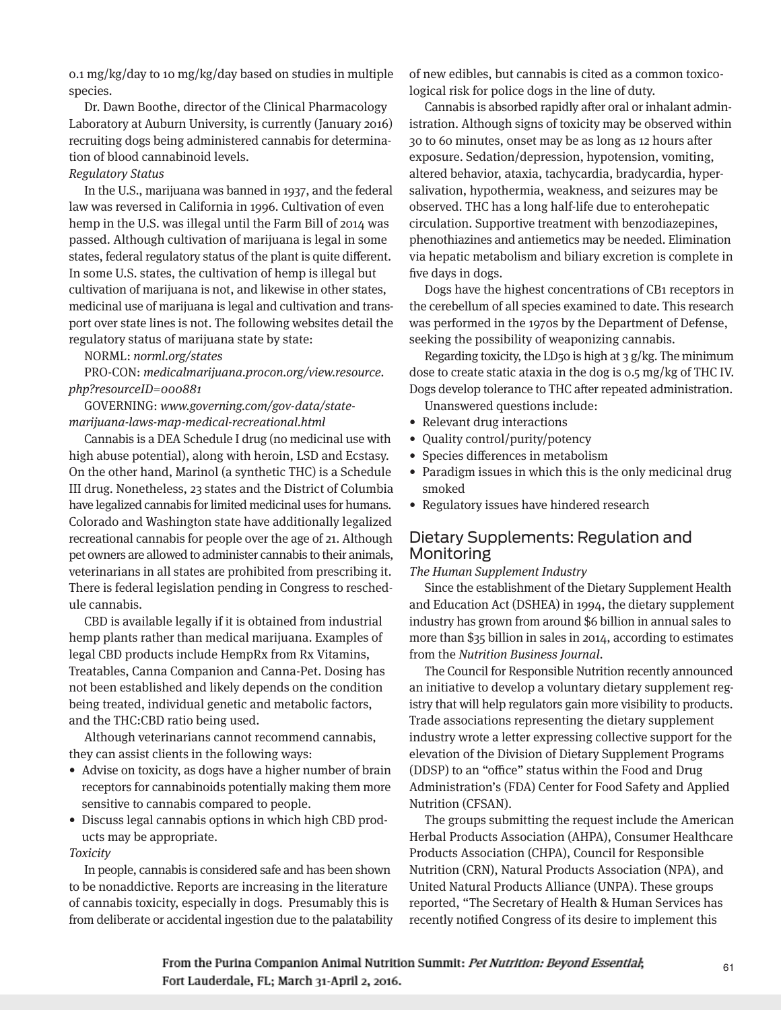0.1 mg/kg/day to 10 mg/kg/day based on studies in multiple species.

Dr. Dawn Boothe, director of the Clinical Pharmacology Laboratory at Auburn University, is currently (January 2016) recruiting dogs being administered cannabis for determination of blood cannabinoid levels.

# Regulatory Status

In the U.S., marijuana was banned in 1937, and the federal law was reversed in California in 1996. Cultivation of even hemp in the U.S. was illegal until the Farm Bill of 2014 was passed. Although cultivation of marijuana is legal in some states, federal regulatory status of the plant is quite different. In some U.S. states, the cultivation of hemp is illegal but cultivation of marijuana is not, and likewise in other states, medicinal use of marijuana is legal and cultivation and transport over state lines is not. The following websites detail the regulatory status of marijuana state by state:

#### NORML: norml.org/states

PRO-CON: medicalmarijuana.procon.org/view.resource. php?resourceID=000881

GOVERNING: www.governing.com/gov-data/statemarijuana-laws-map-medical-recreational.html

Cannabis is a DEA Schedule I drug (no medicinal use with high abuse potential), along with heroin, LSD and Ecstasy. On the other hand, Marinol (a synthetic THC) is a Schedule III drug. Nonetheless, 23 states and the District of Columbia have legalized cannabis for limited medicinal uses for humans. Colorado and Washington state have additionally legalized recreational cannabis for people over the age of 21. Although pet owners are allowed to administer cannabis to their animals, veterinarians in all states are prohibited from prescribing it. There is federal legislation pending in Congress to reschedule cannabis.

CBD is available legally if it is obtained from industrial hemp plants rather than medical marijuana. Examples of legal CBD products include HempRx from Rx Vitamins, Treatables, Canna Companion and Canna-Pet. Dosing has not been established and likely depends on the condition being treated, individual genetic and metabolic factors, and the THC:CBD ratio being used.

Although veterinarians cannot recommend cannabis, they can assist clients in the following ways:

- Advise on toxicity, as dogs have a higher number of brain receptors for cannabinoids potentially making them more sensitive to cannabis compared to people.
- Discuss legal cannabis options in which high CBD products may be appropriate.

#### Toxicity

In people, cannabis is considered safe and has been shown to be nonaddictive. Reports are increasing in the literature of cannabis toxicity, especially in dogs. Presumably this is from deliberate or accidental ingestion due to the palatability of new edibles, but cannabis is cited as a common toxicological risk for police dogs in the line of duty.

Cannabis is absorbed rapidly after oral or inhalant administration. Although signs of toxicity may be observed within 30 to 60 minutes, onset may be as long as 12 hours after exposure. Sedation/depression, hypotension, vomiting, altered behavior, ataxia, tachycardia, bradycardia, hypersalivation, hypothermia, weakness, and seizures may be observed. THC has a long half-life due to enterohepatic circulation. Supportive treatment with benzodiazepines, phenothiazines and antiemetics may be needed. Elimination via hepatic metabolism and biliary excretion is complete in five days in dogs.

Dogs have the highest concentrations of CB1 receptors in the cerebellum of all species examined to date. This research was performed in the 1970s by the Department of Defense, seeking the possibility of weaponizing cannabis.

Regarding toxicity, the LD50 is high at  $3 g/kg$ . The minimum dose to create static ataxia in the dog is 0.5 mg/kg of THC IV. Dogs develop tolerance to THC after repeated administration.

Unanswered questions include:

- Relevant drug interactions
- Quality control/purity/potency
- Species differences in metabolism
- Paradigm issues in which this is the only medicinal drug smoked
- Regulatory issues have hindered research

# Dietary Supplements: Regulation and Monitoring

## The Human Supplement Industry

Since the establishment of the Dietary Supplement Health and Education Act (DSHEA) in 1994, the dietary supplement industry has grown from around \$6 billion in annual sales to more than \$35 billion in sales in 2014, according to estimates from the Nutrition Business Journal.

The Council for Responsible Nutrition recently announced an initiative to develop a voluntary dietary supplement registry that will help regulators gain more visibility to products. Trade associations representing the dietary supplement industry wrote a letter expressing collective support for the elevation of the Division of Dietary Supplement Programs (DDSP) to an "office" status within the Food and Drug Administration's (FDA) Center for Food Safety and Applied Nutrition (CFSAN).

The groups submitting the request include the American Herbal Products Association (AHPA), Consumer Healthcare Products Association (CHPA), Council for Responsible Nutrition (CRN), Natural Products Association (NPA), and United Natural Products Alliance (UNPA). These groups reported, "The Secretary of Health & Human Services has recently notified Congress of its desire to implement this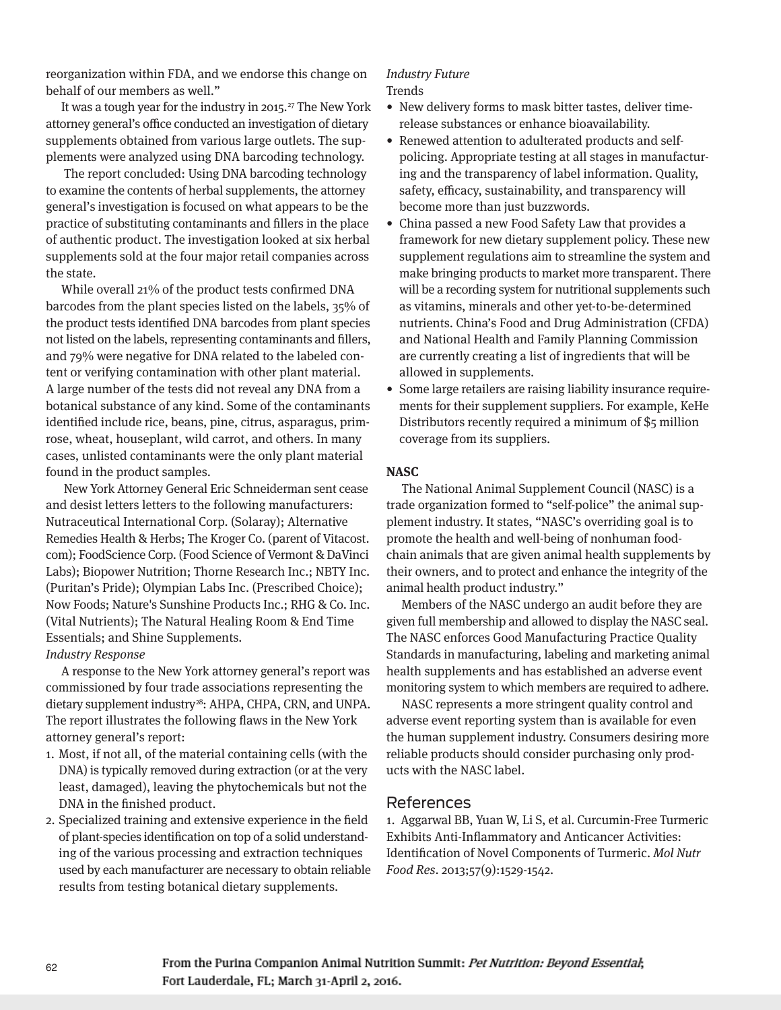reorganization within FDA, and we endorse this change on behalf of our members as well."

It was a tough year for the industry in 2015.<sup>27</sup> The New York attorney general's office conducted an investigation of dietary supplements obtained from various large outlets. The supplements were analyzed using DNA barcoding technology.

The report concluded: Using DNA barcoding technology to examine the contents of herbal supplements, the attorney general's investigation is focused on what appears to be the practice of substituting contaminants and fillers in the place of authentic product. The investigation looked at six herbal supplements sold at the four major retail companies across the state.

While overall 21% of the product tests confirmed DNA barcodes from the plant species listed on the labels, 35% of the product tests identified DNA barcodes from plant species not listed on the labels, representing contaminants and fillers, and 79% were negative for DNA related to the labeled content or verifying contamination with other plant material. A large number of the tests did not reveal any DNA from a botanical substance of any kind. Some of the contaminants identified include rice, beans, pine, citrus, asparagus, primrose, wheat, houseplant, wild carrot, and others. In many cases, unlisted contaminants were the only plant material found in the product samples.

New York Attorney General Eric Schneiderman sent cease and desist letters letters to the following manufacturers: Nutraceutical International Corp. (Solaray); Alternative Remedies Health & Herbs; The Kroger Co. (parent of Vitacost. com); FoodScience Corp. (Food Science of Vermont & DaVinci Labs); Biopower Nutrition; Thorne Research Inc.; NBTY Inc. (Puritan's Pride); Olympian Labs Inc. (Prescribed Choice); Now Foods; Nature's Sunshine Products Inc.; RHG & Co. Inc. (Vital Nutrients); The Natural Healing Room & End Time Essentials; and Shine Supplements.

## Industry Response

A response to the New York attorney general's report was commissioned by four trade associations representing the dietary supplement industry<sup>28</sup>: AHPA, CHPA, CRN, and UNPA. The report illustrates the following flaws in the New York attorney general's report:

- 1. Most, if not all, of the material containing cells (with the DNA) is typically removed during extraction (or at the very least, damaged), leaving the phytochemicals but not the DNA in the finished product.
- 2. Specialized training and extensive experience in the field of plant-species identification on top of a solid understanding of the various processing and extraction techniques used by each manufacturer are necessary to obtain reliable results from testing botanical dietary supplements.

#### Industry Future Trends

- New delivery forms to mask bitter tastes, deliver timerelease substances or enhance bioavailability.
- Renewed attention to adulterated products and selfpolicing. Appropriate testing at all stages in manufacturing and the transparency of label information. Quality, safety, efficacy, sustainability, and transparency will become more than just buzzwords.
- China passed a new Food Safety Law that provides a framework for new dietary supplement policy. These new supplement regulations aim to streamline the system and make bringing products to market more transparent. There will be a recording system for nutritional supplements such as vitamins, minerals and other yet-to-be-determined nutrients. China's Food and Drug Administration (CFDA) and National Health and Family Planning Commission are currently creating a list of ingredients that will be allowed in supplements.
- Some large retailers are raising liability insurance requirements for their supplement suppliers. For example, KeHe Distributors recently required a minimum of \$5 million coverage from its suppliers.

#### **NASC**

The National Animal Supplement Council (NASC) is a trade organization formed to "self-police" the animal supplement industry. It states, "NASC's overriding goal is to promote the health and well-being of nonhuman foodchain animals that are given animal health supplements by their owners, and to protect and enhance the integrity of the animal health product industry."

Members of the NASC undergo an audit before they are given full membership and allowed to display the NASC seal. The NASC enforces Good Manufacturing Practice Quality Standards in manufacturing, labeling and marketing animal health supplements and has established an adverse event monitoring system to which members are required to adhere.

NASC represents a more stringent quality control and adverse event reporting system than is available for even the human supplement industry. Consumers desiring more reliable products should consider purchasing only products with the NASC label.

# References

1. Aggarwal BB, Yuan W, Li S, et al. Curcumin-Free Turmeric Exhibits Anti-Inflammatory and Anticancer Activities: Identification of Novel Components of Turmeric. Mol Nutr Food Res. 2013;57(9):1529-1542.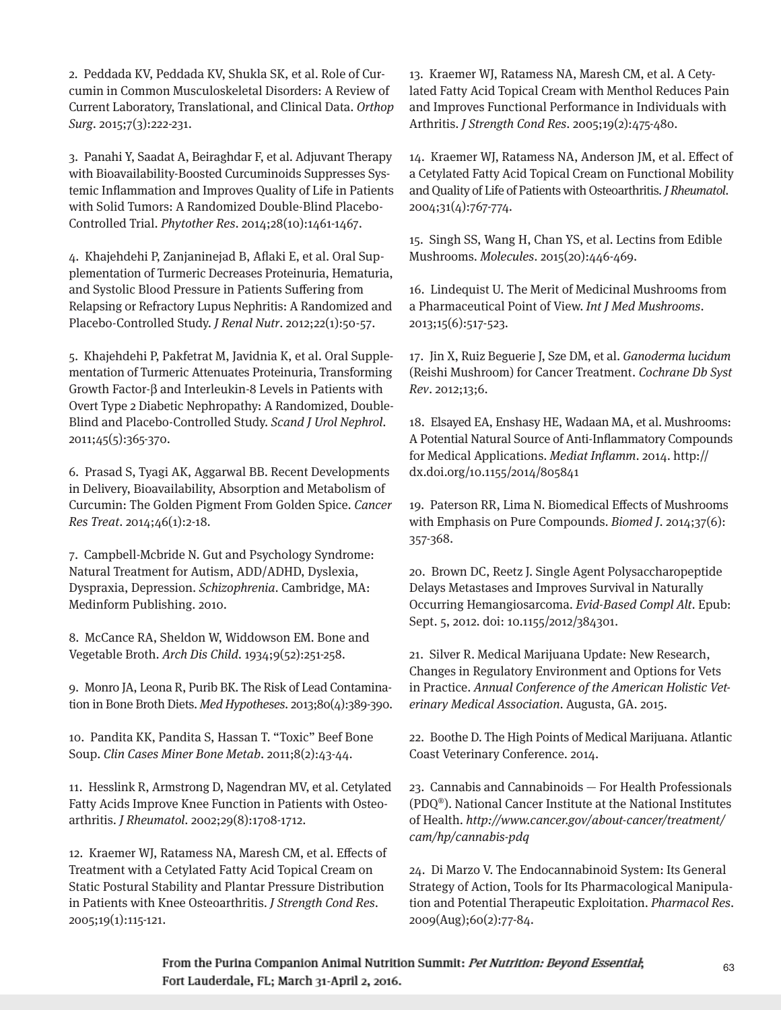2. Peddada KV, Peddada KV, Shukla SK, et al. Role of Curcumin in Common Musculoskeletal Disorders: A Review of Current Laboratory, Translational, and Clinical Data. Orthop Surg. 2015;7(3):222-231.

3. Panahi Y, Saadat A, Beiraghdar F, et al. Adjuvant Therapy with Bioavailability-Boosted Curcuminoids Suppresses Systemic Inflammation and Improves Quality of Life in Patients with Solid Tumors: A Randomized Double-Blind Placebo-Controlled Trial. Phytother Res. 2014;28(10):1461-1467.

4. Khajehdehi P, Zanjaninejad B, Aflaki E, et al. Oral Supplementation of Turmeric Decreases Proteinuria, Hematuria, and Systolic Blood Pressure in Patients Suffering from Relapsing or Refractory Lupus Nephritis: A Randomized and Placebo-Controlled Study. J Renal Nutr. 2012;22(1):50-57.

5. Khajehdehi P, Pakfetrat M, Javidnia K, et al. Oral Supplementation of Turmeric Attenuates Proteinuria, Transforming Growth Factor-β and Interleukin-8 Levels in Patients with Overt Type 2 Diabetic Nephropathy: A Randomized, Double-Blind and Placebo-Controlled Study. Scand J Urol Nephrol. 2011;45(5):365-370.

6. Prasad S, Tyagi AK, Aggarwal BB. Recent Developments in Delivery, Bioavailability, Absorption and Metabolism of Curcumin: The Golden Pigment From Golden Spice. Cancer Res Treat. 2014;46(1):2-18.

7. Campbell-Mcbride N. Gut and Psychology Syndrome: Natural Treatment for Autism, ADD/ADHD, Dyslexia, Dyspraxia, Depression. Schizophrenia. Cambridge, MA: Medinform Publishing. 2010.

8. McCance RA, Sheldon W, Widdowson EM. Bone and Vegetable Broth. Arch Dis Child. 1934;9(52):251-258.

9. Monro JA, Leona R, Purib BK. The Risk of Lead Contamination in Bone Broth Diets. Med Hypotheses. 2013;80(4):389-390.

10. Pandita KK, Pandita S, Hassan T. "Toxic" Beef Bone Soup. Clin Cases Miner Bone Metab. 2011;8(2):43-44.

11. Hesslink R, Armstrong D, Nagendran MV, et al. Cetylated Fatty Acids Improve Knee Function in Patients with Osteoarthritis. J Rheumatol. 2002;29(8):1708-1712.

12. Kraemer WJ, Ratamess NA, Maresh CM, et al. Effects of Treatment with a Cetylated Fatty Acid Topical Cream on Static Postural Stability and Plantar Pressure Distribution in Patients with Knee Osteoarthritis. J Strength Cond Res. 2005;19(1):115-121.

13. Kraemer WJ, Ratamess NA, Maresh CM, et al. A Cetylated Fatty Acid Topical Cream with Menthol Reduces Pain and Improves Functional Performance in Individuals with Arthritis. J Strength Cond Res. 2005;19(2):475-480.

14. Kraemer WJ, Ratamess NA, Anderson JM, et al. Effect of a Cetylated Fatty Acid Topical Cream on Functional Mobility and Quality of Life of Patients with Osteoarthritis. J Rheumatol. 2004;31(4):767-774.

15. Singh SS, Wang H, Chan YS, et al. Lectins from Edible Mushrooms. Molecules. 2015(20):446-469.

16. Lindequist U. The Merit of Medicinal Mushrooms from a Pharmaceutical Point of View. Int J Med Mushrooms. 2013;15(6):517-523.

17. Jin X, Ruiz Beguerie J, Sze DM, et al. Ganoderma lucidum (Reishi Mushroom) for Cancer Treatment. Cochrane Db Syst Rev. 2012;13;6.

18. Elsayed EA, Enshasy HE, Wadaan MA, et al. Mushrooms: A Potential Natural Source of Anti-Inflammatory Compounds for Medical Applications. Mediat Inflamm. 2014. http:// dx.doi.org/10.1155/2014/805841

19. Paterson RR, Lima N. Biomedical Effects of Mushrooms with Emphasis on Pure Compounds. Biomed J. 2014;37(6): 357-368.

20. Brown DC, Reetz J. Single Agent Polysaccharopeptide Delays Metastases and Improves Survival in Naturally Occurring Hemangiosarcoma. Evid-Based Compl Alt. Epub: Sept. 5, 2012. doi: 10.1155/2012/384301.

21. Silver R. Medical Marijuana Update: New Research, Changes in Regulatory Environment and Options for Vets in Practice. Annual Conference of the American Holistic Veterinary Medical Association. Augusta, GA. 2015.

22. Boothe D. The High Points of Medical Marijuana. Atlantic Coast Veterinary Conference. 2014.

23. Cannabis and Cannabinoids — For Health Professionals (PDQ®). National Cancer Institute at the National Institutes of Health. http://www.cancer.gov/about-cancer/treatment/ cam/hp/cannabis-pdq

24. Di Marzo V. The Endocannabinoid System: Its General Strategy of Action, Tools for Its Pharmacological Manipulation and Potential Therapeutic Exploitation. Pharmacol Res. 2009(Aug);60(2):77-84.